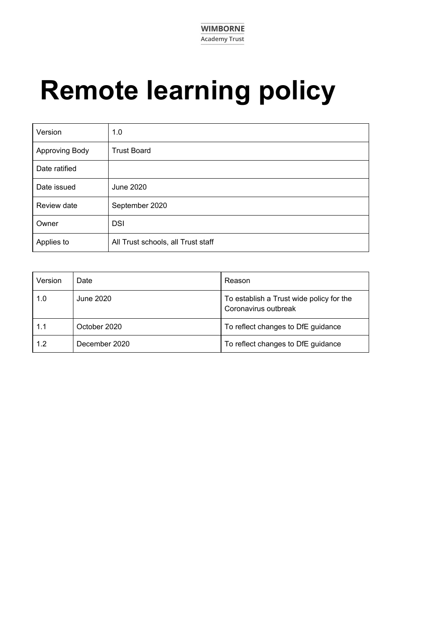

# **Remote learning policy**

| Version        | 1.0                                |
|----------------|------------------------------------|
| Approving Body | <b>Trust Board</b>                 |
| Date ratified  |                                    |
| Date issued    | June 2020                          |
| Review date    | September 2020                     |
| Owner          | <b>DSI</b>                         |
| Applies to     | All Trust schools, all Trust staff |

| Version | Date          | Reason                                                           |
|---------|---------------|------------------------------------------------------------------|
| 1.0     | June 2020     | To establish a Trust wide policy for the<br>Coronavirus outbreak |
| 1.1     | October 2020  | To reflect changes to DfE guidance                               |
| 1.2     | December 2020 | To reflect changes to DfE guidance                               |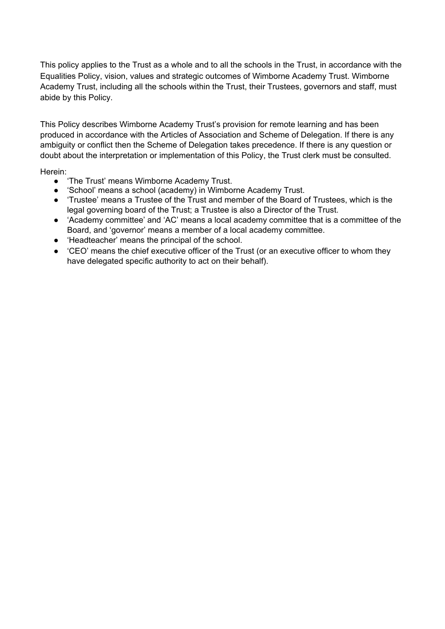This policy applies to the Trust as a whole and to all the schools in the Trust, in accordance with the Equalities Policy, vision, values and strategic outcomes of Wimborne Academy Trust. Wimborne Academy Trust, including all the schools within the Trust, their Trustees, governors and staff, must abide by this Policy.

This Policy describes Wimborne Academy Trust's provision for remote learning and has been produced in accordance with the Articles of Association and Scheme of Delegation. If there is any ambiguity or conflict then the Scheme of Delegation takes precedence. If there is any question or doubt about the interpretation or implementation of this Policy, the Trust clerk must be consulted.

Herein:

- 'The Trust' means Wimborne Academy Trust.
- 'School' means a school (academy) in Wimborne Academy Trust.
- 'Trustee' means a Trustee of the Trust and member of the Board of Trustees, which is the legal governing board of the Trust; a Trustee is also a Director of the Trust.
- 'Academy committee' and 'AC' means a local academy committee that is a committee of the Board, and 'governor' means a member of a local academy committee.
- 'Headteacher' means the principal of the school.
- 'CEO' means the chief executive officer of the Trust (or an executive officer to whom they have delegated specific authority to act on their behalf).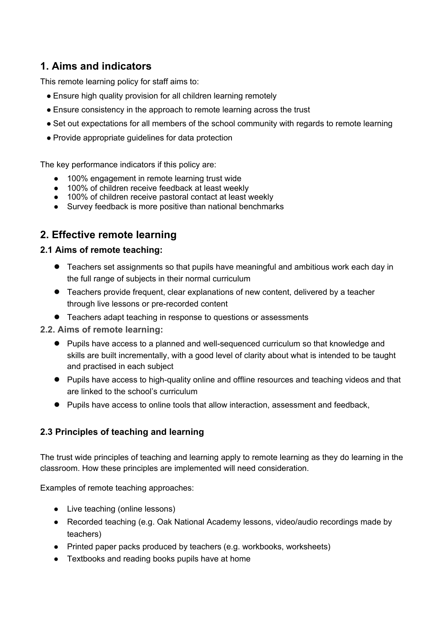# **1. Aims and indicators**

This remote learning policy for staff aims to:

- Ensure high quality provision for all children learning remotely
- Ensure consistency in the approach to remote learning across the trust
- Set out expectations for all members of the school community with regards to remote learning
- Provide appropriate guidelines for data protection

The key performance indicators if this policy are:

- 100% engagement in remote learning trust wide
- 100% of children receive feedback at least weekly
- 100% of children receive receivable at least weekly 100% of children receive pastoral contact at least weekly
- Survey feedback is more positive than national benchmarks

# **2. Effective remote learning**

#### **2.1 Aims of remote teaching:**

- Teachers set assignments so that pupils have meaningful and ambitious work each day in the full range of subjects in their normal curriculum
- Teachers provide frequent, clear explanations of new content, delivered by a teacher through live lessons or pre-recorded content
- Teachers adapt teaching in response to questions or assessments
- **2.2. Aims of remote learning:**
	- Pupils have access to a planned and well-sequenced curriculum so that knowledge and skills are built incrementally, with a good level of clarity about what is intended to be taught and practised in each subject
	- Pupils have access to high-quality online and offline resources and teaching videos and that are linked to the school's curriculum
	- Pupils have access to online tools that allow interaction, assessment and feedback,

## **2.3 Principles of teaching and learning**

The trust wide principles of teaching and learning apply to remote learning as they do learning in the classroom. How these principles are implemented will need consideration.

Examples of remote teaching approaches:

- Live teaching (online lessons)
- Recorded teaching (e.g. Oak National Academy lessons, video/audio recordings made by teachers)
- Printed paper packs produced by teachers (e.g. workbooks, worksheets)
- Textbooks and reading books pupils have at home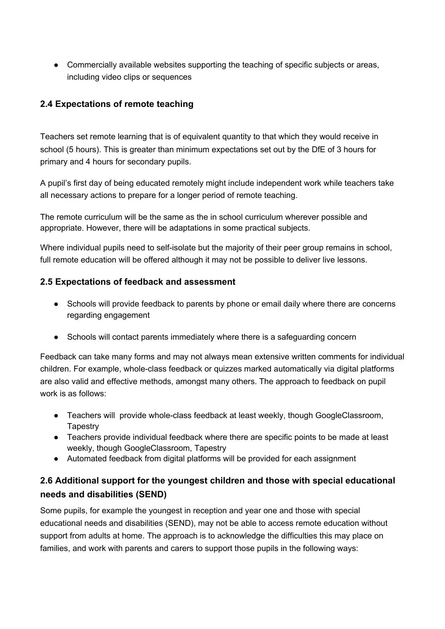• Commercially available websites supporting the teaching of specific subjects or areas, including video clips or sequences

## **2.4 Expectations of remote teaching**

Teachers set remote learning that is of equivalent quantity to that which they would receive in school (5 hours). This is greater than minimum expectations set out by the DfE of 3 hours for primary and 4 hours for secondary pupils.

A pupil's first day of being educated remotely might include independent work while teachers take all necessary actions to prepare for a longer period of remote teaching.

The remote curriculum will be the same as the in school curriculum wherever possible and appropriate. However, there will be adaptations in some practical subjects.

Where individual pupils need to self-isolate but the majority of their peer group remains in school, full remote education will be offered although it may not be possible to deliver live lessons.

## **2.5 Expectations of feedback and assessment**

- Schools will provide feedback to parents by phone or email daily where there are concerns regarding engagement
- Schools will contact parents immediately where there is a safeguarding concern

Feedback can take many forms and may not always mean extensive written comments for individual children. For example, whole-class feedback or quizzes marked automatically via digital platforms are also valid and effective methods, amongst many others. The approach to feedback on pupil work is as follows:

- Teachers will provide whole-class feedback at least weekly, though GoogleClassroom, **Tapestry**
- Teachers provide individual feedback where there are specific points to be made at least weekly, though GoogleClassroom, Tapestry
- Automated feedback from digital platforms will be provided for each assignment

# **2.6 Additional support for the youngest children and those with special educational needs and disabilities (SEND)**

Some pupils, for example the youngest in reception and year one and those with special educational needs and disabilities (SEND), may not be able to access remote education without support from adults at home. The approach is to acknowledge the difficulties this may place on families, and work with parents and carers to support those pupils in the following ways: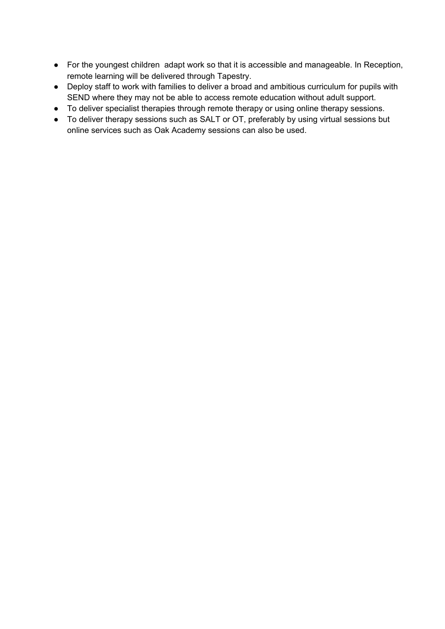- For the youngest children adapt work so that it is accessible and manageable. In Reception, remote learning will be delivered through Tapestry.
- Deploy staff to work with families to deliver a broad and ambitious curriculum for pupils with SEND where they may not be able to access remote education without adult support.
- To deliver specialist therapies through remote therapy or using online therapy sessions.
- To deliver therapy sessions such as SALT or OT, preferably by using virtual sessions but online services such as Oak Academy sessions can also be used.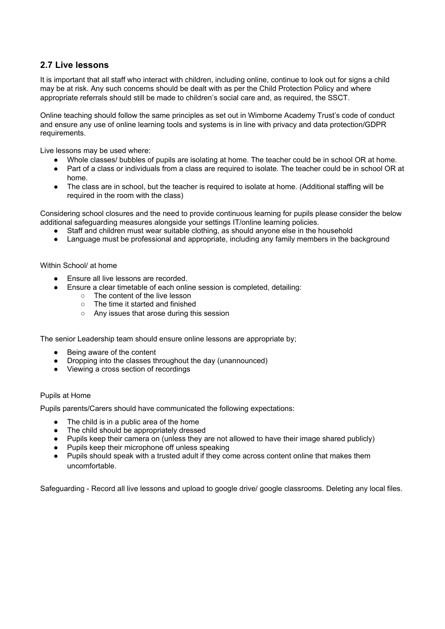#### **2.7 Live lessons**

It is important that all staff who interact with children, including online, continue to look out for signs a child may be at risk. Any such concerns should be dealt with as per the Child Protection Policy and where appropriate referrals should still be made to children's social care and, as required, the SSCT.

Online teaching should follow the same principles as set out in Wimborne Academy Trust's code of conduct and ensure any use of online learning tools and systems is in line with privacy and data protection/GDPR requirements.

Live lessons may be used where:

- Whole classes/ bubbles of pupils are isolating at home. The teacher could be in school OR at home.
- Part of a class or individuals from a class are required to isolate. The teacher could be in school OR at home.
- The class are in school, but the teacher is required to isolate at home. (Additional staffing will be required in the room with the class)

Considering school closures and the need to provide continuous learning for pupils please consider the below additional safeguarding measures alongside your settings IT/online learning policies.

- Staff and children must wear suitable clothing, as should anyone else in the household
- Language must be professional and appropriate, including any family members in the background

#### Within School/ at home

- Ensure all live lessons are recorded.
- Ensure a clear timetable of each online session is completed, detailing:
	- The content of the live lesson
	- The time it started and finished
	- Any issues that arose during this session

The senior Leadership team should ensure online lessons are appropriate by;

- Being aware of the content
- Dropping into the classes throughout the day (unannounced)
- Viewing a cross section of recordings

#### Pupils at Home

Pupils parents/Carers should have communicated the following expectations:

- The child is in a public area of the home
- The child should be appropriately dressed
- Pupils keep their camera on (unless they are not allowed to have their image shared publicly)
- Pupils keep their microphone off unless speaking
- Pupils should speak with a trusted adult if they come across content online that makes them uncomfortable.

Safeguarding - Record all live lessons and upload to google drive/ google classrooms. Deleting any local files.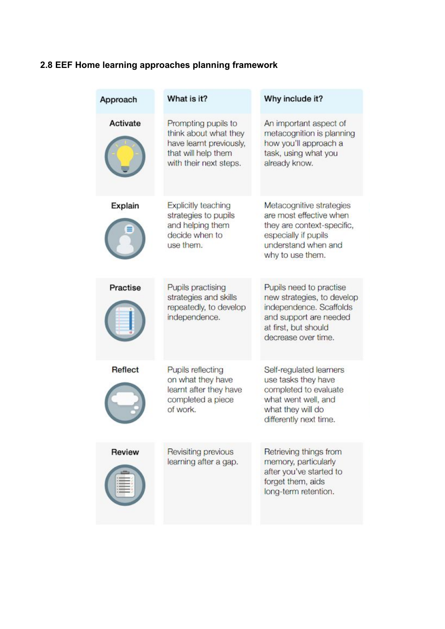# **2.8 EEF Home learning approaches planning framework**

| Approach       | What is it?                                                                                                              | Why include it?                                                                                                                                           |
|----------------|--------------------------------------------------------------------------------------------------------------------------|-----------------------------------------------------------------------------------------------------------------------------------------------------------|
| Activate       | Prompting pupils to<br>think about what they<br>have learnt previously,<br>that will help them<br>with their next steps. | An important aspect of<br>metacognition is planning<br>how you'll approach a<br>task, using what you<br>already know.                                     |
| Explain        | <b>Explicitly teaching</b><br>strategies to pupils<br>and helping them<br>decide when to<br>use them.                    | Metacognitive strategies<br>are most effective when<br>they are context-specific,<br>especially if pupils<br>understand when and<br>why to use them.      |
| Practise       | Pupils practising<br>strategies and skills<br>repeatedly, to develop<br>independence.                                    | Pupils need to practise<br>new strategies, to develop<br>independence. Scaffolds<br>and support are needed<br>at first, but should<br>decrease over time. |
| <b>Reflect</b> | Pupils reflecting<br>on what they have<br>learnt after they have<br>completed a piece<br>of work.                        | Self-regulated learners<br>use tasks they have<br>completed to evaluate<br>what went well, and<br>what they will do<br>differently next time.             |
| Review         | Revisiting previous<br>learning after a gap.                                                                             | Retrieving things from<br>memory, particularly<br>after you've started to<br>forget them, aids<br>long-term retention.                                    |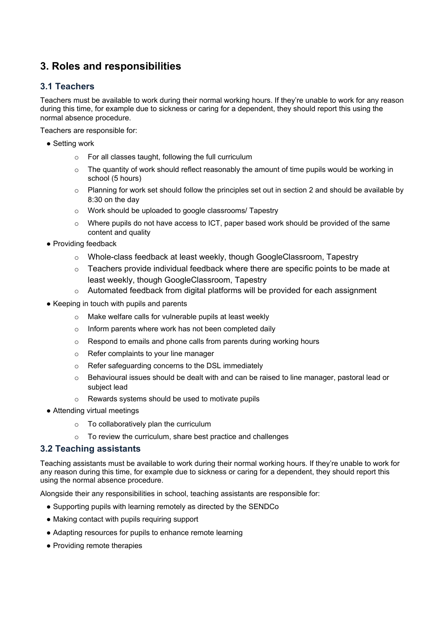# **3. Roles and responsibilities**

## **3.1 Teachers**

Teachers must be available to work during their normal working hours. If they're unable to work for any reason during this time, for example due to sickness or caring for a dependent, they should report this using the normal absence procedure.

Teachers are responsible for:

- Setting work
	- o For all classes taught, following the full curriculum
	- o The quantity of work should reflect reasonably the amount of time pupils would be working in school (5 hours)
	- $\circ$  Planning for work set should follow the principles set out in section 2 and should be available by 8:30 on the day
	- o Work should be uploaded to google classrooms/ Tapestry
	- $\circ$  Where pupils do not have access to ICT, paper based work should be provided of the same content and quality
- Providing feedback
	- o Whole-class feedback at least weekly, though GoogleClassroom, Tapestry
	- $\circ$  Teachers provide individual feedback where there are specific points to be made at least weekly, though GoogleClassroom, Tapestry
	- $\circ$  Automated feedback from digital platforms will be provided for each assignment
- Keeping in touch with pupils and parents
	- o Make welfare calls for vulnerable pupils at least weekly
	- o Inform parents where work has not been completed daily
	- o Respond to emails and phone calls from parents during working hours
	- o Refer complaints to your line manager
	- Refer safeguarding concerns to the DSL immediately
	- $\circ$  Behavioural issues should be dealt with and can be raised to line manager, pastoral lead or subject lead
	- o Rewards systems should be used to motivate pupils
- Attending virtual meetings
	- o To collaboratively plan the curriculum
	- o To review the curriculum, share best practice and challenges

#### **3.2 Teaching assistants**

Teaching assistants must be available to work during their normal working hours. If they're unable to work for any reason during this time, for example due to sickness or caring for a dependent, they should report this using the normal absence procedure.

Alongside their any responsibilities in school, teaching assistants are responsible for:

- Supporting pupils with learning remotely as directed by the SENDCo
- Making contact with pupils requiring support
- Adapting resources for pupils to enhance remote learning
- Providing remote therapies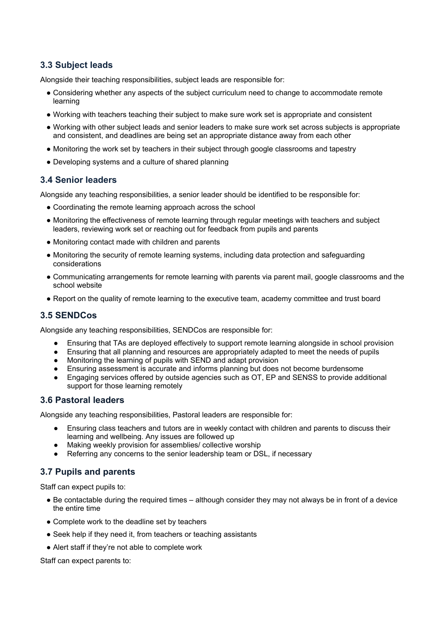## **3.3 Subject leads**

Alongside their teaching responsibilities, subject leads are responsible for:

- Considering whether any aspects of the subject curriculum need to change to accommodate remote learning
- Working with teachers teaching their subject to make sure work set is appropriate and consistent
- Working with other subject leads and senior leaders to make sure work set across subjects is appropriate and consistent, and deadlines are being set an appropriate distance away from each other
- Monitoring the work set by teachers in their subject through google classrooms and tapestry
- Developing systems and a culture of shared planning

#### **3.4 Senior leaders**

Alongside any teaching responsibilities, a senior leader should be identified to be responsible for:

- Coordinating the remote learning approach across the school
- Monitoring the effectiveness of remote learning through regular meetings with teachers and subject leaders, reviewing work set or reaching out for feedback from pupils and parents
- Monitoring contact made with children and parents
- Monitoring the security of remote learning systems, including data protection and safeguarding considerations
- Communicating arrangements for remote learning with parents via parent mail, google classrooms and the school website
- Report on the quality of remote learning to the executive team, academy committee and trust board

#### **3.5 SENDCos**

Alongside any teaching responsibilities, SENDCos are responsible for:

- Ensuring that TAs are deployed effectively to support remote learning alongside in school provision
- Ensuring that all planning and resources are appropriately adapted to meet the needs of pupils
- Monitoring the learning of pupils with SEND and adapt provision
- Ensuring assessment is accurate and informs planning but does not become burdensome
- Engaging services offered by outside agencies such as OT, EP and SENSS to provide additional support for those learning remotely

#### **3.6 Pastoral leaders**

Alongside any teaching responsibilities, Pastoral leaders are responsible for:

- Ensuring class teachers and tutors are in weekly contact with children and parents to discuss their learning and wellbeing. Any issues are followed up
- Making weekly provision for assemblies/ collective worship
- Referring any concerns to the senior leadership team or DSL, if necessary

#### **3.7 Pupils and parents**

Staff can expect pupils to:

- Be contactable during the required times although consider they may not always be in front of a device the entire time
- Complete work to the deadline set by teachers
- Seek help if they need it, from teachers or teaching assistants
- Alert staff if they're not able to complete work

Staff can expect parents to: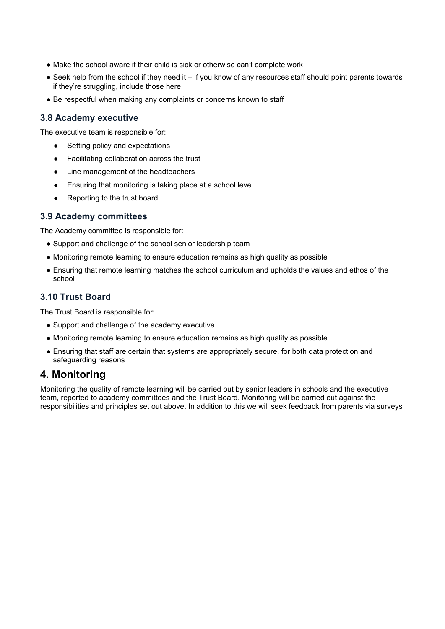- Make the school aware if their child is sick or otherwise can't complete work
- Seek help from the school if they need it if you know of any resources staff should point parents towards if they're struggling, include those here
- Be respectful when making any complaints or concerns known to staff

#### **3.8 Academy executive**

The executive team is responsible for:

- Setting policy and expectations
- Facilitating collaboration across the trust
- Line management of the headteachers
- Ensuring that monitoring is taking place at a school level
- Reporting to the trust board

#### **3.9 Academy committees**

The Academy committee is responsible for:

- Support and challenge of the school senior leadership team
- Monitoring remote learning to ensure education remains as high quality as possible
- Ensuring that remote learning matches the school curriculum and upholds the values and ethos of the school

#### **3.10 Trust Board**

The Trust Board is responsible for:

- Support and challenge of the academy executive
- Monitoring remote learning to ensure education remains as high quality as possible
- Ensuring that staff are certain that systems are appropriately secure, for both data protection and safeguarding reasons

## **4. Monitoring**

Monitoring the quality of remote learning will be carried out by senior leaders in schools and the executive team, reported to academy committees and the Trust Board. Monitoring will be carried out against the responsibilities and principles set out above. In addition to this we will seek feedback from parents via surveys